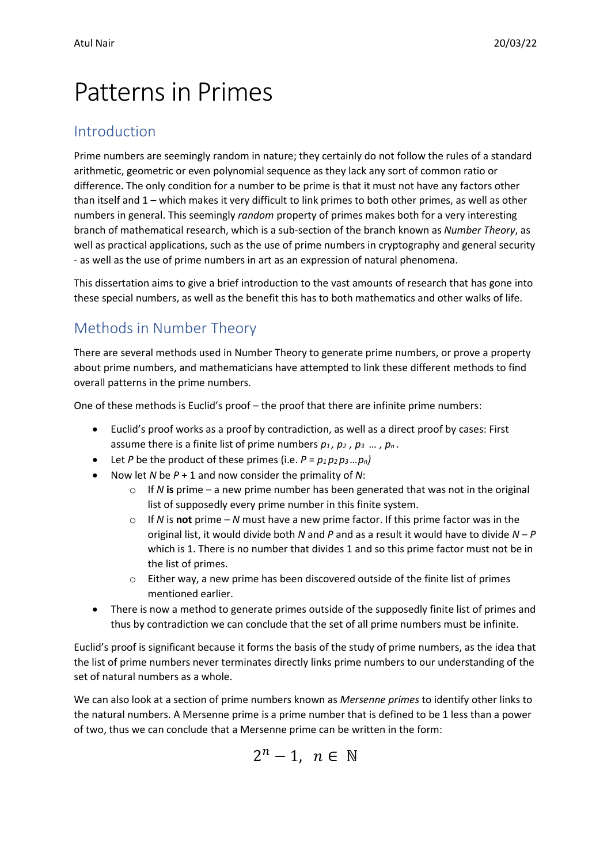# Patterns in Primes

### Introduction

Prime numbers are seemingly random in nature; they certainly do not follow the rules of a standard arithmetic, geometric or even polynomial sequence as they lack any sort of common ratio or difference. The only condition for a number to be prime is that it must not have any factors other than itself and 1 – which makes it very difficult to link primes to both other primes, as well as other numbers in general. This seemingly *random* property of primes makes both for a very interesting branch of mathematical research, which is a sub-section of the branch known as *Number Theory*, as well as practical applications, such as the use of prime numbers in cryptography and general security - as well as the use of prime numbers in art as an expression of natural phenomena.

This dissertation aims to give a brief introduction to the vast amounts of research that has gone into these special numbers, as well as the benefit this has to both mathematics and other walks of life.

## Methods in Number Theory

There are several methods used in Number Theory to generate prime numbers, or prove a property about prime numbers, and mathematicians have attempted to link these different methods to find overall patterns in the prime numbers.

One of these methods is Euclid's proof – the proof that there are infinite prime numbers:

- Euclid's proof works as a proof by contradiction, as well as a direct proof by cases: First assume there is a finite list of prime numbers  $p_1$ ,  $p_2$ ,  $p_3$  ...,  $p_n$ .
- Let *P* be the product of these primes (i.e.  $P = p_1 p_2 p_3 ... p_n$ )
- Now let *N* be *P* + 1 and now consider the primality of *N*:
	- $\circ$  If *N* is prime a new prime number has been generated that was not in the original list of supposedly every prime number in this finite system.
	- If *N* is **not** prime *N* must have a new prime factor. If this prime factor was in the original list, it would divide both *N* and *P* and as a result it would have to divide *N* – *P* which is 1. There is no number that divides 1 and so this prime factor must not be in the list of primes.
	- o Either way, a new prime has been discovered outside of the finite list of primes mentioned earlier.
- There is now a method to generate primes outside of the supposedly finite list of primes and thus by contradiction we can conclude that the set of all prime numbers must be infinite.

Euclid's proof is significant because it forms the basis of the study of prime numbers, as the idea that the list of prime numbers never terminates directly links prime numbers to our understanding of the set of natural numbers as a whole.

We can also look at a section of prime numbers known as *Mersenne primes* to identify other links to the natural numbers. A Mersenne prime is a prime number that is defined to be 1 less than a power of two, thus we can conclude that a Mersenne prime can be written in the form:

$$
2^n-1, n \in \mathbb{N}
$$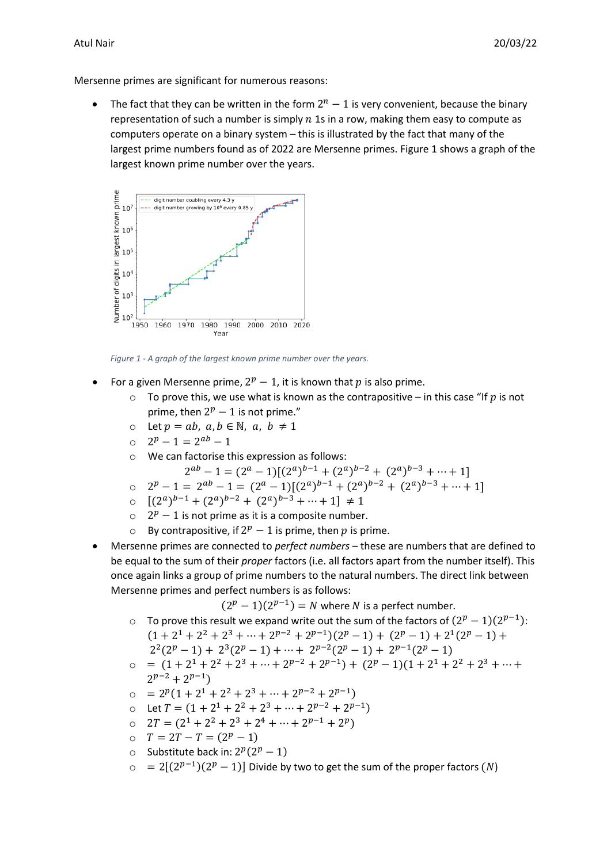Mersenne primes are significant for numerous reasons:

• The fact that they can be written in the form  $2^n - 1$  is very convenient, because the binary representation of such a number is simply  $n$  1s in a row, making them easy to compute as computers operate on a binary system – this is illustrated by the fact that many of the largest prime numbers found as of 2022 are Mersenne primes. Figure 1 shows a graph of the largest known prime number over the years.



*Figure 1 - A graph of the largest known prime number over the years.*

- For a given Mersenne prime,  $2^p 1$ , it is known that p is also prime.
	- $\circ$  To prove this, we use what is known as the contrapositive in this case "If p is not prime, then  $2^p - 1$  is not prime."
	- o Let  $p = ab$ ,  $a, b \in \mathbb{N}$ ,  $a, b \neq 1$
	- $2^p 1 = 2^{ab} 1$
	- o We can factorise this expression as follows:

$$
2^{ab} - 1 = (2^a - 1)[(2^a)^{b-1} + (2^a)^{b-2} + (2^a)^{b-3} + \dots + 1]
$$

- o  $2^p 1 = 2^{ab} 1 = (2^a 1)[(2^a)^{b-1} + (2^a)^{b-2} + (2^a)^{b-3} + \cdots + 1]$
- $[(2^a)^{b-1} + (2^a)^{b-2} + (2^a)^{b-3} + \cdots + 1] \neq 1$
- $o$   $2^p 1$  is not prime as it is a composite number.
- o By contrapositive, if  $2^p 1$  is prime, then p is prime.
- Mersenne primes are connected to *perfect numbers* these are numbers that are defined to be equal to the sum of their *proper* factors (i.e. all factors apart from the number itself). This once again links a group of prime numbers to the natural numbers. The direct link between Mersenne primes and perfect numbers is as follows:

 $(2^p - 1)(2^{p-1}) = N$  where N is a perfect number.

- To prove this result we expand write out the sum of the factors of  $(2^p-1)(2^{p-1})$ :  $(1+2^1+2^2+2^3+\cdots+2^{p-2}+2^{p-1})(2^p-1)+(2^p-1)+2^1(2^p-1)+$  $2^2(2^p - 1) + 2^3(2^p - 1) + \cdots + 2^{p-2}(2^p - 1) + 2^{p-1}(2^p - 1)$
- $\circ$  =  $(1+2^1+2^2+2^3+\cdots+2^{p-2}+2^{p-1}) + (2^p-1)(1+2^1+2^2+2^3+\cdots+$  $2^{p-2} + 2^{p-1}$
- $\circ$  =  $2^p(1+2^1+2^2+2^3+\cdots+2^{p-2}+2^{p-1})$
- o Let  $T = (1 + 2^1 + 2^2 + 2^3 + \dots + 2^{p-2} + 2^{p-1})$
- o  $2T = (2^1 + 2^2 + 2^3 + 2^4 + \dots + 2^{p-1} + 2^p)$
- o  $T = 2T T = (2^p 1)$
- o Substitute back in:  $2^p(2^p 1)$
- = 2[ $(2^{p-1})(2^p 1)$ ] Divide by two to get the sum of the proper factors  $(N)$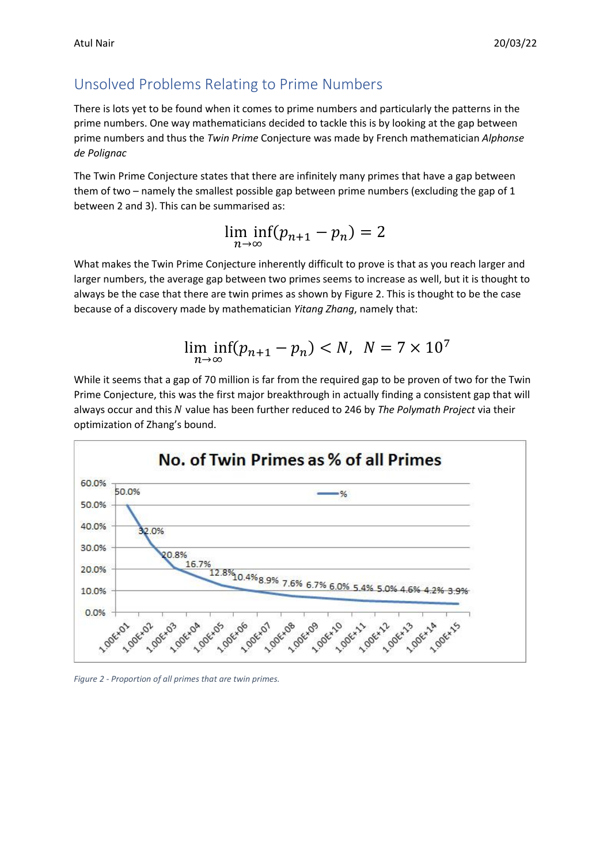### Unsolved Problems Relating to Prime Numbers

There is lots yet to be found when it comes to prime numbers and particularly the patterns in the prime numbers. One way mathematicians decided to tackle this is by looking at the gap between prime numbers and thus the *Twin Prime* Conjecture was made by French mathematician *Alphonse de Polignac*

The Twin Prime Conjecture states that there are infinitely many primes that have a gap between them of two – namely the smallest possible gap between prime numbers (excluding the gap of 1 between 2 and 3). This can be summarised as:

> lim inf  $\min_{n\to\infty}(p_{n+1}-p_n)=2$

What makes the Twin Prime Conjecture inherently difficult to prove is that as you reach larger and larger numbers, the average gap between two primes seems to increase as well, but it is thought to always be the case that there are twin primes as shown by Figure 2. This is thought to be the case because of a discovery made by mathematician *Yitang Zhang*, namely that:

$$
\liminf_{n \to \infty} (p_{n+1} - p_n) < N, \ N = 7 \times 10^7
$$

While it seems that a gap of 70 million is far from the required gap to be proven of two for the Twin Prime Conjecture, this was the first major breakthrough in actually finding a consistent gap that will always occur and this N value has been further reduced to 246 by *The Polymath Project* via their optimization of Zhang's bound.



*Figure 2 - Proportion of all primes that are twin primes.*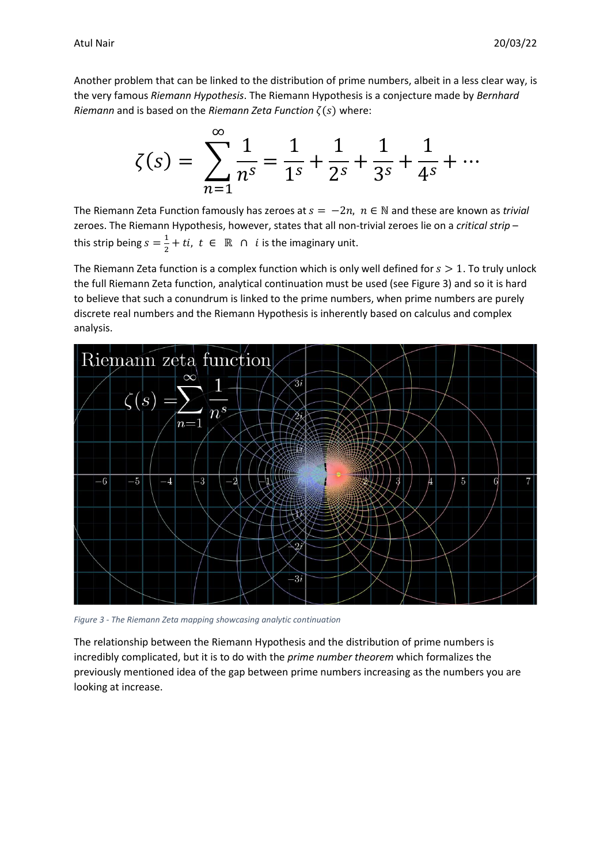Another problem that can be linked to the distribution of prime numbers, albeit in a less clear way, is the very famous *Riemann Hypothesis*. The Riemann Hypothesis is a conjecture made by *Bernhard Riemann* and is based on the *Riemann Zeta Function*  $\zeta(s)$  where:

$$
\zeta(s) = \sum_{n=1}^{\infty} \frac{1}{n^s} = \frac{1}{1^s} + \frac{1}{2^s} + \frac{1}{3^s} + \frac{1}{4^s} + \cdots
$$

The Riemann Zeta Function famously has zeroes at  $s = -2n$ ,  $n \in \mathbb{N}$  and these are known as *trivial* zeroes. The Riemann Hypothesis, however, states that all non-trivial zeroes lie on a *critical strip* – this strip being  $s=\frac{1}{3}$  $\frac{1}{2} + ti$ ,  $t \in \mathbb{R} \cap i$  is the imaginary unit.

The Riemann Zeta function is a complex function which is only well defined for  $s > 1$ . To truly unlock the full Riemann Zeta function, analytical continuation must be used (see Figure 3) and so it is hard to believe that such a conundrum is linked to the prime numbers, when prime numbers are purely discrete real numbers and the Riemann Hypothesis is inherently based on calculus and complex analysis.



*Figure 3 - The Riemann Zeta mapping showcasing analytic continuation*

The relationship between the Riemann Hypothesis and the distribution of prime numbers is incredibly complicated, but it is to do with the *prime number theorem* which formalizes the previously mentioned idea of the gap between prime numbers increasing as the numbers you are looking at increase.